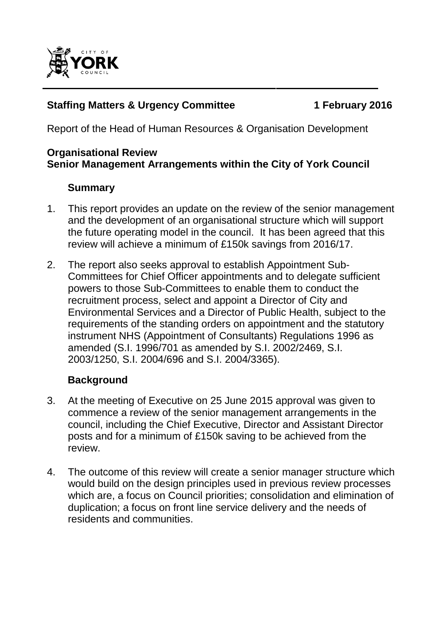

## **Staffing Matters & Urgency Committee 1 February 2016**

Report of the Head of Human Resources & Organisation Development

### **Organisational Review Senior Management Arrangements within the City of York Council**

## **Summary**

- 1. This report provides an update on the review of the senior management and the development of an organisational structure which will support the future operating model in the council. It has been agreed that this review will achieve a minimum of £150k savings from 2016/17.
- 2. The report also seeks approval to establish Appointment Sub-Committees for Chief Officer appointments and to delegate sufficient powers to those Sub-Committees to enable them to conduct the recruitment process, select and appoint a Director of City and Environmental Services and a Director of Public Health, subject to the requirements of the standing orders on appointment and the statutory instrument NHS (Appointment of Consultants) Regulations 1996 as amended (S.I. 1996/701 as amended by S.I. 2002/2469, S.I. 2003/1250, S.I. 2004/696 and S.I. 2004/3365).

## **Background**

- 3. At the meeting of Executive on 25 June 2015 approval was given to commence a review of the senior management arrangements in the council, including the Chief Executive, Director and Assistant Director posts and for a minimum of £150k saving to be achieved from the review.
- 4. The outcome of this review will create a senior manager structure which would build on the design principles used in previous review processes which are, a focus on Council priorities; consolidation and elimination of duplication; a focus on front line service delivery and the needs of residents and communities.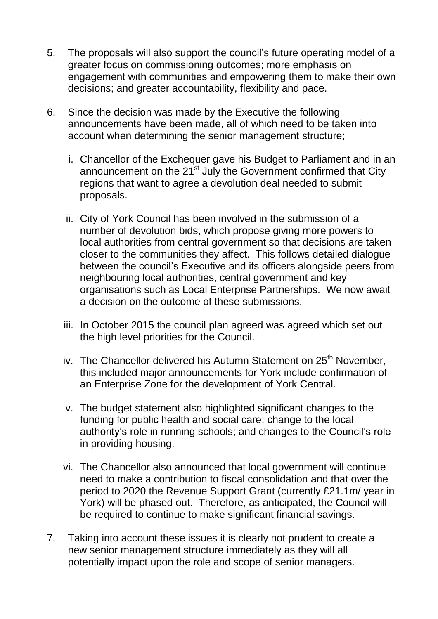- 5. The proposals will also support the council"s future operating model of a greater focus on commissioning outcomes; more emphasis on engagement with communities and empowering them to make their own decisions; and greater accountability, flexibility and pace.
- 6. Since the decision was made by the Executive the following announcements have been made, all of which need to be taken into account when determining the senior management structure;
	- i. Chancellor of the Exchequer gave his Budget to Parliament and in an announcement on the 21<sup>st</sup> July the Government confirmed that City regions that want to agree a devolution deal needed to submit proposals.
	- ii. City of York Council has been involved in the submission of a number of devolution bids, which propose giving more powers to local authorities from central government so that decisions are taken closer to the communities they affect. This follows detailed dialogue between the council"s Executive and its officers alongside peers from neighbouring local authorities, central government and key organisations such as Local Enterprise Partnerships. We now await a decision on the outcome of these submissions.
	- iii. In October 2015 the council plan agreed was agreed which set out the high level priorities for the Council.
	- iv. The Chancellor delivered his Autumn Statement on 25<sup>th</sup> November. this included major announcements for York include confirmation of an Enterprise Zone for the development of York Central.
	- v. The budget statement also highlighted significant changes to the funding for public health and social care; change to the local authority"s role in running schools; and changes to the Council"s role in providing housing.
	- vi. The Chancellor also announced that local government will continue need to make a contribution to fiscal consolidation and that over the period to 2020 the Revenue Support Grant (currently £21.1m/ year in York) will be phased out. Therefore, as anticipated, the Council will be required to continue to make significant financial savings.
- 7. Taking into account these issues it is clearly not prudent to create a new senior management structure immediately as they will all potentially impact upon the role and scope of senior managers.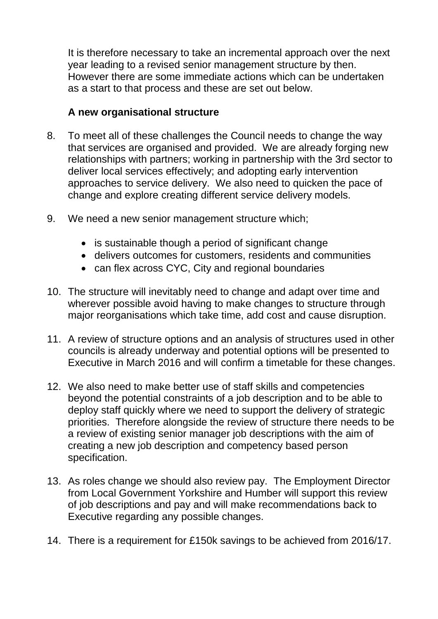It is therefore necessary to take an incremental approach over the next year leading to a revised senior management structure by then. However there are some immediate actions which can be undertaken as a start to that process and these are set out below.

#### **A new organisational structure**

- 8. To meet all of these challenges the Council needs to change the way that services are organised and provided. We are already forging new relationships with partners; working in partnership with the 3rd sector to deliver local services effectively; and adopting early intervention approaches to service delivery. We also need to quicken the pace of change and explore creating different service delivery models.
- 9. We need a new senior management structure which;
	- is sustainable though a period of significant change
	- delivers outcomes for customers, residents and communities
	- can flex across CYC, City and regional boundaries
- 10. The structure will inevitably need to change and adapt over time and wherever possible avoid having to make changes to structure through major reorganisations which take time, add cost and cause disruption.
- 11. A review of structure options and an analysis of structures used in other councils is already underway and potential options will be presented to Executive in March 2016 and will confirm a timetable for these changes.
- 12. We also need to make better use of staff skills and competencies beyond the potential constraints of a job description and to be able to deploy staff quickly where we need to support the delivery of strategic priorities. Therefore alongside the review of structure there needs to be a review of existing senior manager job descriptions with the aim of creating a new job description and competency based person specification.
- 13. As roles change we should also review pay. The Employment Director from Local Government Yorkshire and Humber will support this review of job descriptions and pay and will make recommendations back to Executive regarding any possible changes.
- 14. There is a requirement for £150k savings to be achieved from 2016/17.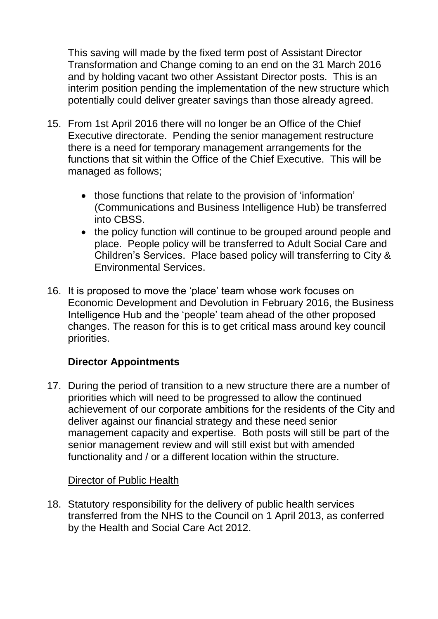This saving will made by the fixed term post of Assistant Director Transformation and Change coming to an end on the 31 March 2016 and by holding vacant two other Assistant Director posts. This is an interim position pending the implementation of the new structure which potentially could deliver greater savings than those already agreed.

- 15. From 1st April 2016 there will no longer be an Office of the Chief Executive directorate. Pending the senior management restructure there is a need for temporary management arrangements for the functions that sit within the Office of the Chief Executive. This will be managed as follows;
	- those functions that relate to the provision of 'information' (Communications and Business Intelligence Hub) be transferred into CBSS.
	- the policy function will continue to be grouped around people and place. People policy will be transferred to Adult Social Care and Children"s Services. Place based policy will transferring to City & Environmental Services.
- 16. It is proposed to move the "place" team whose work focuses on Economic Development and Devolution in February 2016, the Business Intelligence Hub and the "people" team ahead of the other proposed changes. The reason for this is to get critical mass around key council priorities.

## **Director Appointments**

17. During the period of transition to a new structure there are a number of priorities which will need to be progressed to allow the continued achievement of our corporate ambitions for the residents of the City and deliver against our financial strategy and these need senior management capacity and expertise. Both posts will still be part of the senior management review and will still exist but with amended functionality and / or a different location within the structure.

## Director of Public Health

18. Statutory responsibility for the delivery of public health services transferred from the NHS to the Council on 1 April 2013, as conferred by the Health and Social Care Act 2012.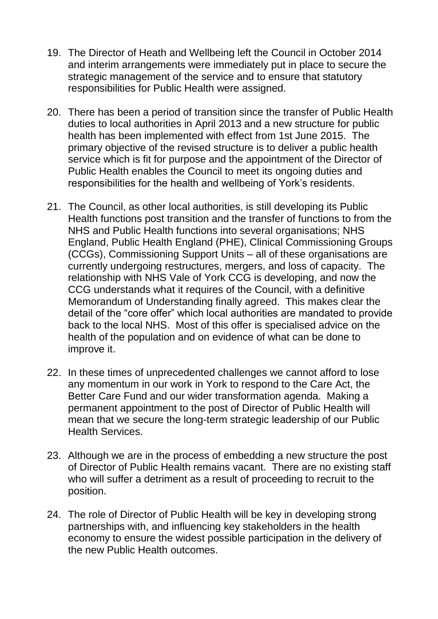- 19. The Director of Heath and Wellbeing left the Council in October 2014 and interim arrangements were immediately put in place to secure the strategic management of the service and to ensure that statutory responsibilities for Public Health were assigned.
- 20. There has been a period of transition since the transfer of Public Health duties to local authorities in April 2013 and a new structure for public health has been implemented with effect from 1st June 2015. The primary objective of the revised structure is to deliver a public health service which is fit for purpose and the appointment of the Director of Public Health enables the Council to meet its ongoing duties and responsibilities for the health and wellbeing of York"s residents.
- 21. The Council, as other local authorities, is still developing its Public Health functions post transition and the transfer of functions to from the NHS and Public Health functions into several organisations; NHS England, Public Health England (PHE), Clinical Commissioning Groups (CCGs), Commissioning Support Units – all of these organisations are currently undergoing restructures, mergers, and loss of capacity. The relationship with NHS Vale of York CCG is developing, and now the CCG understands what it requires of the Council, with a definitive Memorandum of Understanding finally agreed. This makes clear the detail of the "core offer" which local authorities are mandated to provide back to the local NHS. Most of this offer is specialised advice on the health of the population and on evidence of what can be done to improve it.
- 22. In these times of unprecedented challenges we cannot afford to lose any momentum in our work in York to respond to the Care Act, the Better Care Fund and our wider transformation agenda. Making a permanent appointment to the post of Director of Public Health will mean that we secure the long-term strategic leadership of our Public Health Services.
- 23. Although we are in the process of embedding a new structure the post of Director of Public Health remains vacant. There are no existing staff who will suffer a detriment as a result of proceeding to recruit to the position.
- 24. The role of Director of Public Health will be key in developing strong partnerships with, and influencing key stakeholders in the health economy to ensure the widest possible participation in the delivery of the new Public Health outcomes.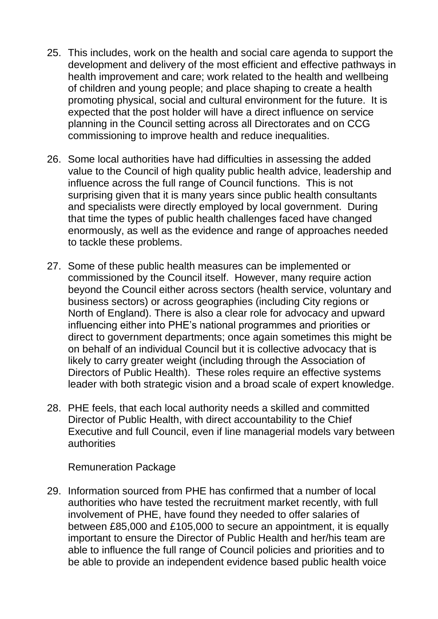- 25. This includes, work on the health and social care agenda to support the development and delivery of the most efficient and effective pathways in health improvement and care; work related to the health and wellbeing of children and young people; and place shaping to create a health promoting physical, social and cultural environment for the future. It is expected that the post holder will have a direct influence on service planning in the Council setting across all Directorates and on CCG commissioning to improve health and reduce inequalities.
- 26. Some local authorities have had difficulties in assessing the added value to the Council of high quality public health advice, leadership and influence across the full range of Council functions. This is not surprising given that it is many years since public health consultants and specialists were directly employed by local government. During that time the types of public health challenges faced have changed enormously, as well as the evidence and range of approaches needed to tackle these problems.
- 27. Some of these public health measures can be implemented or commissioned by the Council itself. However, many require action beyond the Council either across sectors (health service, voluntary and business sectors) or across geographies (including City regions or North of England). There is also a clear role for advocacy and upward influencing either into PHE"s national programmes and priorities or direct to government departments; once again sometimes this might be on behalf of an individual Council but it is collective advocacy that is likely to carry greater weight (including through the Association of Directors of Public Health). These roles require an effective systems leader with both strategic vision and a broad scale of expert knowledge.
- 28. PHE feels, that each local authority needs a skilled and committed Director of Public Health, with direct accountability to the Chief Executive and full Council, even if line managerial models vary between authorities

Remuneration Package

29. Information sourced from PHE has confirmed that a number of local authorities who have tested the recruitment market recently, with full involvement of PHE, have found they needed to offer salaries of between £85,000 and £105,000 to secure an appointment, it is equally important to ensure the Director of Public Health and her/his team are able to influence the full range of Council policies and priorities and to be able to provide an independent evidence based public health voice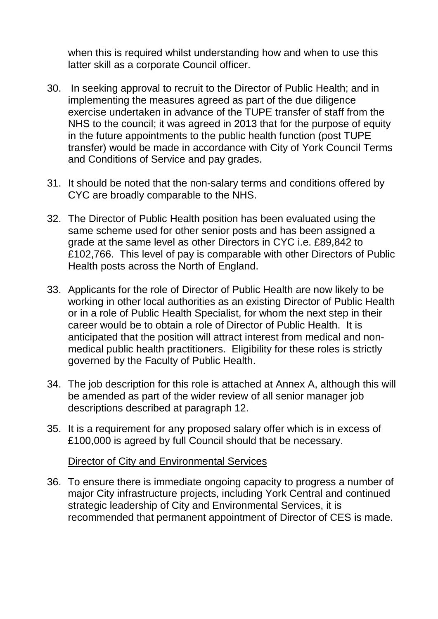when this is required whilst understanding how and when to use this latter skill as a corporate Council officer.

- 30. In seeking approval to recruit to the Director of Public Health; and in implementing the measures agreed as part of the due diligence exercise undertaken in advance of the TUPE transfer of staff from the NHS to the council; it was agreed in 2013 that for the purpose of equity in the future appointments to the public health function (post TUPE transfer) would be made in accordance with City of York Council Terms and Conditions of Service and pay grades.
- 31. It should be noted that the non-salary terms and conditions offered by CYC are broadly comparable to the NHS.
- 32. The Director of Public Health position has been evaluated using the same scheme used for other senior posts and has been assigned a grade at the same level as other Directors in CYC i.e. £89,842 to £102,766. This level of pay is comparable with other Directors of Public Health posts across the North of England.
- 33. Applicants for the role of Director of Public Health are now likely to be working in other local authorities as an existing Director of Public Health or in a role of Public Health Specialist, for whom the next step in their career would be to obtain a role of Director of Public Health. It is anticipated that the position will attract interest from medical and nonmedical public health practitioners. Eligibility for these roles is strictly governed by the Faculty of Public Health.
- 34. The job description for this role is attached at Annex A, although this will be amended as part of the wider review of all senior manager job descriptions described at paragraph 12.
- 35. It is a requirement for any proposed salary offer which is in excess of £100,000 is agreed by full Council should that be necessary.

Director of City and Environmental Services

36. To ensure there is immediate ongoing capacity to progress a number of major City infrastructure projects, including York Central and continued strategic leadership of City and Environmental Services, it is recommended that permanent appointment of Director of CES is made.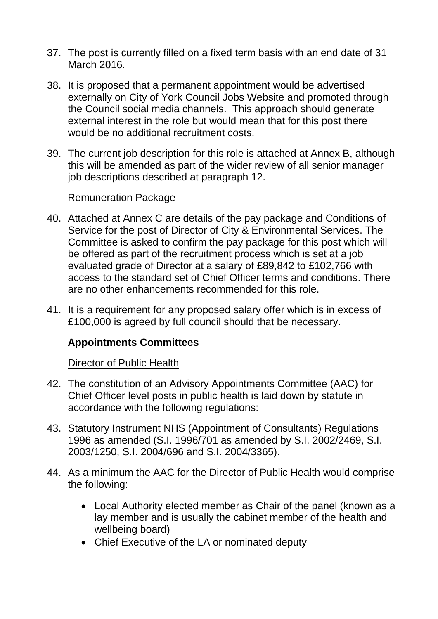- 37. The post is currently filled on a fixed term basis with an end date of 31 March 2016.
- 38. It is proposed that a permanent appointment would be advertised externally on City of York Council Jobs Website and promoted through the Council social media channels. This approach should generate external interest in the role but would mean that for this post there would be no additional recruitment costs.
- 39. The current job description for this role is attached at Annex B, although this will be amended as part of the wider review of all senior manager job descriptions described at paragraph 12.

Remuneration Package

- 40. Attached at Annex C are details of the pay package and Conditions of Service for the post of Director of City & Environmental Services. The Committee is asked to confirm the pay package for this post which will be offered as part of the recruitment process which is set at a job evaluated grade of Director at a salary of £89,842 to £102,766 with access to the standard set of Chief Officer terms and conditions. There are no other enhancements recommended for this role.
- 41. It is a requirement for any proposed salary offer which is in excess of £100,000 is agreed by full council should that be necessary.

## **Appointments Committees**

#### Director of Public Health

- 42. The constitution of an Advisory Appointments Committee (AAC) for Chief Officer level posts in public health is laid down by statute in accordance with the following regulations:
- 43. Statutory Instrument NHS (Appointment of Consultants) Regulations 1996 as amended (S.I. 1996/701 as amended by S.I. 2002/2469, S.I. 2003/1250, S.I. 2004/696 and S.I. 2004/3365).
- 44. As a minimum the AAC for the Director of Public Health would comprise the following:
	- Local Authority elected member as Chair of the panel (known as a lay member and is usually the cabinet member of the health and wellbeing board)
	- Chief Executive of the LA or nominated deputy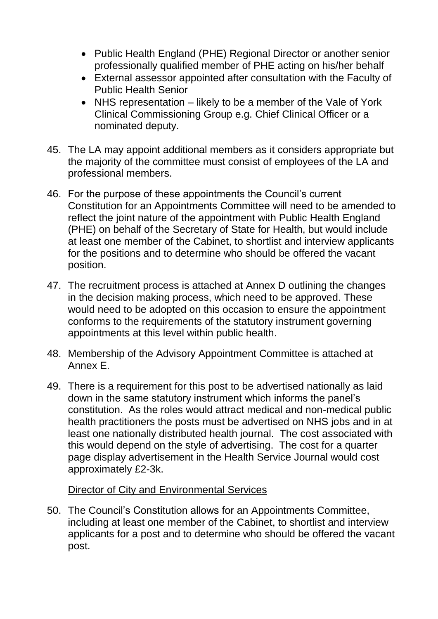- Public Health England (PHE) Regional Director or another senior professionally qualified member of PHE acting on his/her behalf
- External assessor appointed after consultation with the Faculty of Public Health Senior
- NHS representation likely to be a member of the Vale of York Clinical Commissioning Group e.g. Chief Clinical Officer or a nominated deputy.
- 45. The LA may appoint additional members as it considers appropriate but the majority of the committee must consist of employees of the LA and professional members.
- 46. For the purpose of these appointments the Council"s current Constitution for an Appointments Committee will need to be amended to reflect the joint nature of the appointment with Public Health England (PHE) on behalf of the Secretary of State for Health, but would include at least one member of the Cabinet, to shortlist and interview applicants for the positions and to determine who should be offered the vacant position.
- 47. The recruitment process is attached at Annex D outlining the changes in the decision making process, which need to be approved. These would need to be adopted on this occasion to ensure the appointment conforms to the requirements of the statutory instrument governing appointments at this level within public health.
- 48. Membership of the Advisory Appointment Committee is attached at Annex E.
- 49. There is a requirement for this post to be advertised nationally as laid down in the same statutory instrument which informs the panel"s constitution. As the roles would attract medical and non-medical public health practitioners the posts must be advertised on NHS jobs and in at least one nationally distributed health journal. The cost associated with this would depend on the style of advertising. The cost for a quarter page display advertisement in the Health Service Journal would cost approximately £2-3k.

#### Director of City and Environmental Services

50. The Council"s Constitution allows for an Appointments Committee, including at least one member of the Cabinet, to shortlist and interview applicants for a post and to determine who should be offered the vacant post.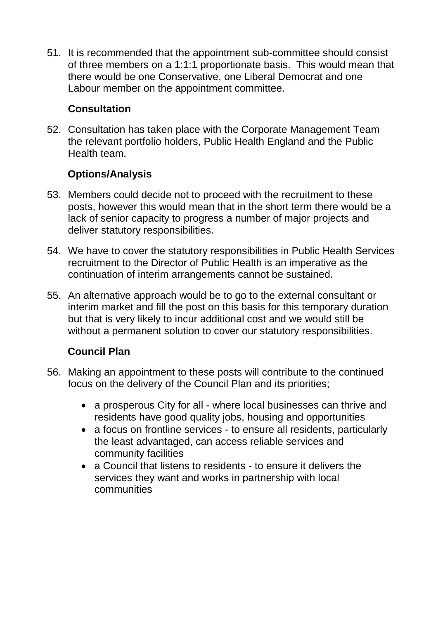51. It is recommended that the appointment sub-committee should consist of three members on a 1:1:1 proportionate basis. This would mean that there would be one Conservative, one Liberal Democrat and one Labour member on the appointment committee.

## **Consultation**

52. Consultation has taken place with the Corporate Management Team the relevant portfolio holders, Public Health England and the Public Health team.

# **Options/Analysis**

- 53. Members could decide not to proceed with the recruitment to these posts, however this would mean that in the short term there would be a lack of senior capacity to progress a number of major projects and deliver statutory responsibilities.
- 54. We have to cover the statutory responsibilities in Public Health Services recruitment to the Director of Public Health is an imperative as the continuation of interim arrangements cannot be sustained.
- 55. An alternative approach would be to go to the external consultant or interim market and fill the post on this basis for this temporary duration but that is very likely to incur additional cost and we would still be without a permanent solution to cover our statutory responsibilities.

# **Council Plan**

- 56. Making an appointment to these posts will contribute to the continued focus on the delivery of the Council Plan and its priorities;
	- a prosperous City for all where local businesses can thrive and residents have good quality jobs, housing and opportunities
	- a focus on frontline services to ensure all residents, particularly the least advantaged, can access reliable services and community facilities
	- a Council that listens to residents to ensure it delivers the services they want and works in partnership with local communities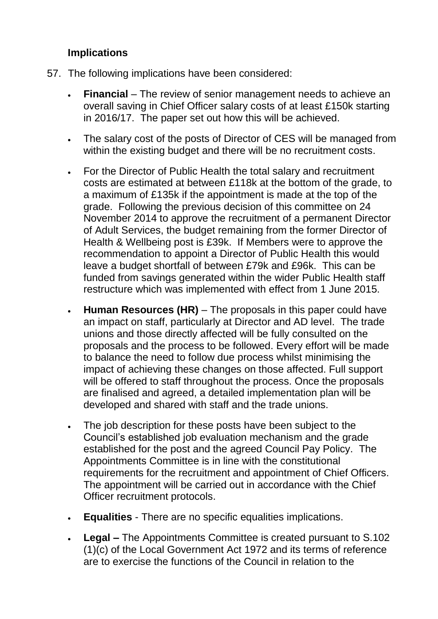### **Implications**

- 57. The following implications have been considered:
	- **Financial** The review of senior management needs to achieve an overall saving in Chief Officer salary costs of at least £150k starting in 2016/17. The paper set out how this will be achieved.
	- The salary cost of the posts of Director of CES will be managed from within the existing budget and there will be no recruitment costs.
	- For the Director of Public Health the total salary and recruitment costs are estimated at between £118k at the bottom of the grade, to a maximum of £135k if the appointment is made at the top of the grade. Following the previous decision of this committee on 24 November 2014 to approve the recruitment of a permanent Director of Adult Services, the budget remaining from the former Director of Health & Wellbeing post is £39k. If Members were to approve the recommendation to appoint a Director of Public Health this would leave a budget shortfall of between £79k and £96k. This can be funded from savings generated within the wider Public Health staff restructure which was implemented with effect from 1 June 2015.
	- **Human Resources (HR)**  The proposals in this paper could have an impact on staff, particularly at Director and AD level. The trade unions and those directly affected will be fully consulted on the proposals and the process to be followed. Every effort will be made to balance the need to follow due process whilst minimising the impact of achieving these changes on those affected. Full support will be offered to staff throughout the process. Once the proposals are finalised and agreed, a detailed implementation plan will be developed and shared with staff and the trade unions.
	- The job description for these posts have been subject to the Council"s established job evaluation mechanism and the grade established for the post and the agreed Council Pay Policy. The Appointments Committee is in line with the constitutional requirements for the recruitment and appointment of Chief Officers. The appointment will be carried out in accordance with the Chief Officer recruitment protocols.
	- **Equalities** There are no specific equalities implications.
	- **Legal –** The Appointments Committee is created pursuant to S.102 (1)(c) of the Local Government Act 1972 and its terms of reference are to exercise the functions of the Council in relation to the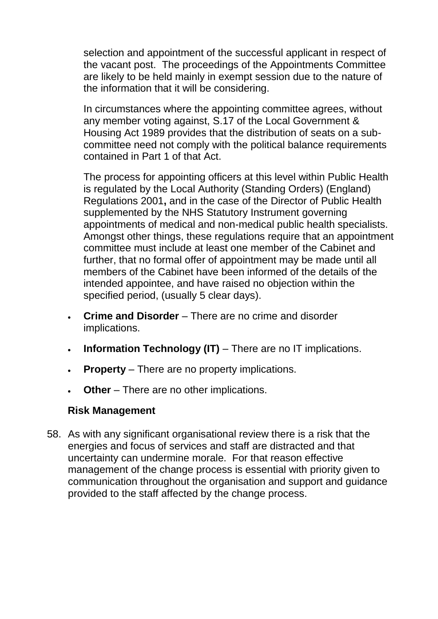selection and appointment of the successful applicant in respect of the vacant post. The proceedings of the Appointments Committee are likely to be held mainly in exempt session due to the nature of the information that it will be considering.

In circumstances where the appointing committee agrees, without any member voting against, S.17 of the Local Government & Housing Act 1989 provides that the distribution of seats on a subcommittee need not comply with the political balance requirements contained in Part 1 of that Act.

The process for appointing officers at this level within Public Health is regulated by the Local Authority (Standing Orders) (England) Regulations 2001**,** and in the case of the Director of Public Health supplemented by the NHS Statutory Instrument governing appointments of medical and non-medical public health specialists. Amongst other things, these regulations require that an appointment committee must include at least one member of the Cabinet and further, that no formal offer of appointment may be made until all members of the Cabinet have been informed of the details of the intended appointee, and have raised no objection within the specified period, (usually 5 clear days).

- **Crime and Disorder**  There are no crime and disorder implications.
- **Information Technology (IT)** There are no IT implications.
- **Property** There are no property implications.
- **Other** There are no other implications.

## **Risk Management**

58. As with any significant organisational review there is a risk that the energies and focus of services and staff are distracted and that uncertainty can undermine morale. For that reason effective management of the change process is essential with priority given to communication throughout the organisation and support and guidance provided to the staff affected by the change process.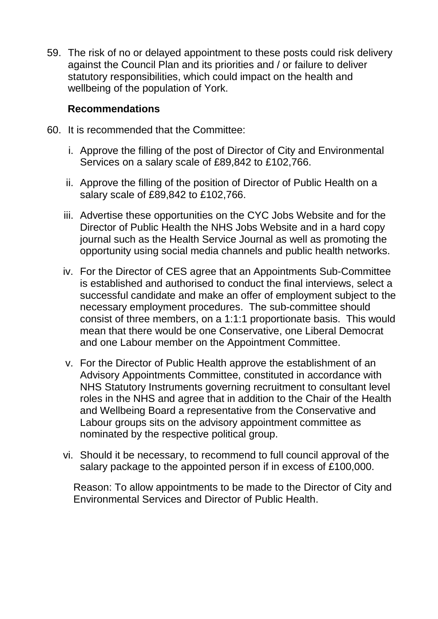59. The risk of no or delayed appointment to these posts could risk delivery against the Council Plan and its priorities and / or failure to deliver statutory responsibilities, which could impact on the health and wellbeing of the population of York.

### **Recommendations**

- 60. It is recommended that the Committee:
	- i. Approve the filling of the post of Director of City and Environmental Services on a salary scale of £89,842 to £102,766.
	- ii. Approve the filling of the position of Director of Public Health on a salary scale of £89,842 to £102,766.
	- iii. Advertise these opportunities on the CYC Jobs Website and for the Director of Public Health the NHS Jobs Website and in a hard copy journal such as the Health Service Journal as well as promoting the opportunity using social media channels and public health networks.
	- iv. For the Director of CES agree that an Appointments Sub-Committee is established and authorised to conduct the final interviews, select a successful candidate and make an offer of employment subject to the necessary employment procedures. The sub-committee should consist of three members, on a 1:1:1 proportionate basis. This would mean that there would be one Conservative, one Liberal Democrat and one Labour member on the Appointment Committee.
	- v. For the Director of Public Health approve the establishment of an Advisory Appointments Committee, constituted in accordance with NHS Statutory Instruments governing recruitment to consultant level roles in the NHS and agree that in addition to the Chair of the Health and Wellbeing Board a representative from the Conservative and Labour groups sits on the advisory appointment committee as nominated by the respective political group.
	- vi. Should it be necessary, to recommend to full council approval of the salary package to the appointed person if in excess of £100,000.

Reason: To allow appointments to be made to the Director of City and Environmental Services and Director of Public Health.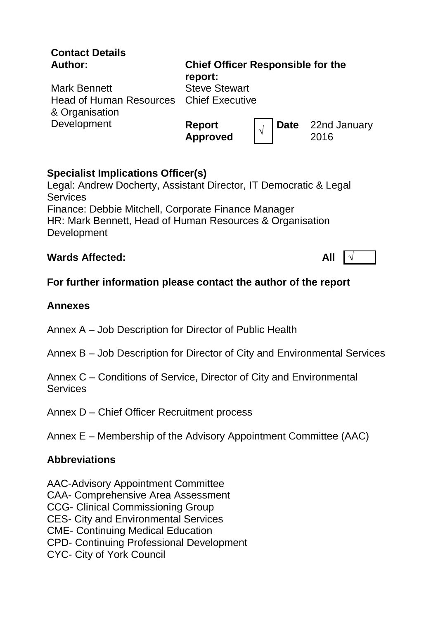| <b>Contact Details</b><br>Author:                                                       | <b>Chief Officer Responsible for the</b><br>report: |  |                                  |
|-----------------------------------------------------------------------------------------|-----------------------------------------------------|--|----------------------------------|
| <b>Mark Bennett</b><br><b>Head of Human Resources</b> Chief Executive<br>& Organisation | <b>Steve Stewart</b>                                |  |                                  |
| Development                                                                             | Report<br>Approved                                  |  | <b>Date</b> 22nd January<br>2016 |

## **Specialist Implications Officer(s)**

Legal: Andrew Docherty, Assistant Director, IT Democratic & Legal **Services** Finance: Debbie Mitchell, Corporate Finance Manager HR: Mark Bennett, Head of Human Resources & Organisation **Development** 

## **Wards Affected: All** √

# **For further information please contact the author of the report**

## **Annexes**

- Annex A Job Description for Director of Public Health
- Annex B Job Description for Director of City and Environmental Services
- Annex C Conditions of Service, Director of City and Environmental **Services**
- Annex D Chief Officer Recruitment process

Annex E – Membership of the Advisory Appointment Committee (AAC)

## **Abbreviations**

- AAC-Advisory Appointment Committee
- CAA- Comprehensive Area Assessment
- CCG- Clinical Commissioning Group
- CES- City and Environmental Services
- CME- Continuing Medical Education
- CPD- Continuing Professional Development
- CYC- City of York Council